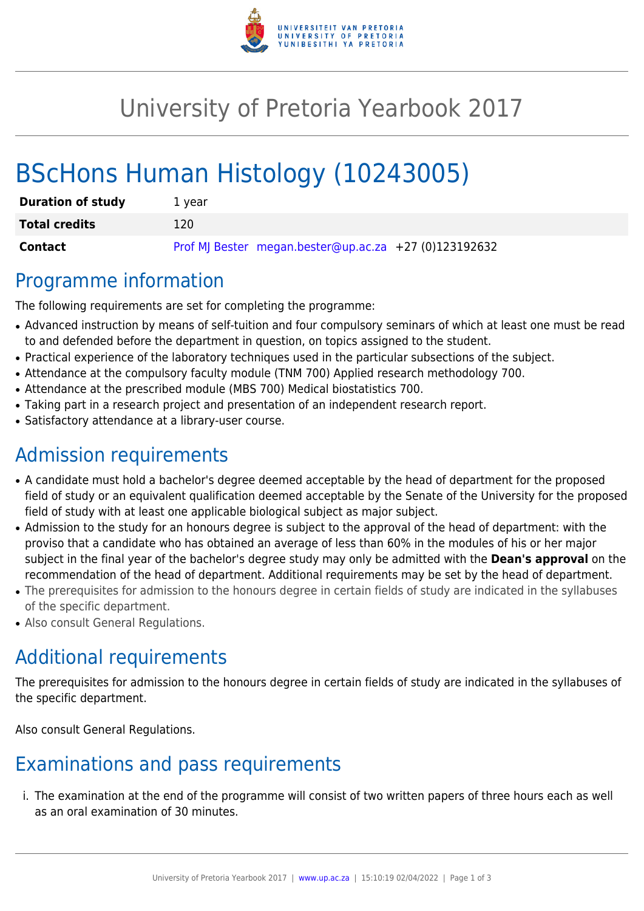

# University of Pretoria Yearbook 2017

# BScHons Human Histology (10243005)

| <b>Duration of study</b> | 1 vear                                                |
|--------------------------|-------------------------------------------------------|
| <b>Total credits</b>     | 120                                                   |
| <b>Contact</b>           | Prof MJ Bester megan.bester@up.ac.za +27 (0)123192632 |

### Programme information

The following requirements are set for completing the programme:

- Advanced instruction by means of self-tuition and four compulsory seminars of which at least one must be read to and defended before the department in question, on topics assigned to the student.
- Practical experience of the laboratory techniques used in the particular subsections of the subject.
- Attendance at the compulsory faculty module (TNM 700) Applied research methodology 700.
- Attendance at the prescribed module (MBS 700) Medical biostatistics 700.
- Taking part in a research project and presentation of an independent research report.
- Satisfactory attendance at a library-user course.

## Admission requirements

- A candidate must hold a bachelor's degree deemed acceptable by the head of department for the proposed field of study or an equivalent qualification deemed acceptable by the Senate of the University for the proposed field of study with at least one applicable biological subject as major subject.
- Admission to the study for an honours degree is subject to the approval of the head of department: with the proviso that a candidate who has obtained an average of less than 60% in the modules of his or her major subject in the final year of the bachelor's degree study may only be admitted with the **Dean's approval** on the recommendation of the head of department. Additional requirements may be set by the head of department.
- The prerequisites for admission to the honours degree in certain fields of study are indicated in the syllabuses of the specific department.
- Also consult General Regulations.

# Additional requirements

The prerequisites for admission to the honours degree in certain fields of study are indicated in the syllabuses of the specific department.

Also consult General Regulations.

## Examinations and pass requirements

i. The examination at the end of the programme will consist of two written papers of three hours each as well as an oral examination of 30 minutes.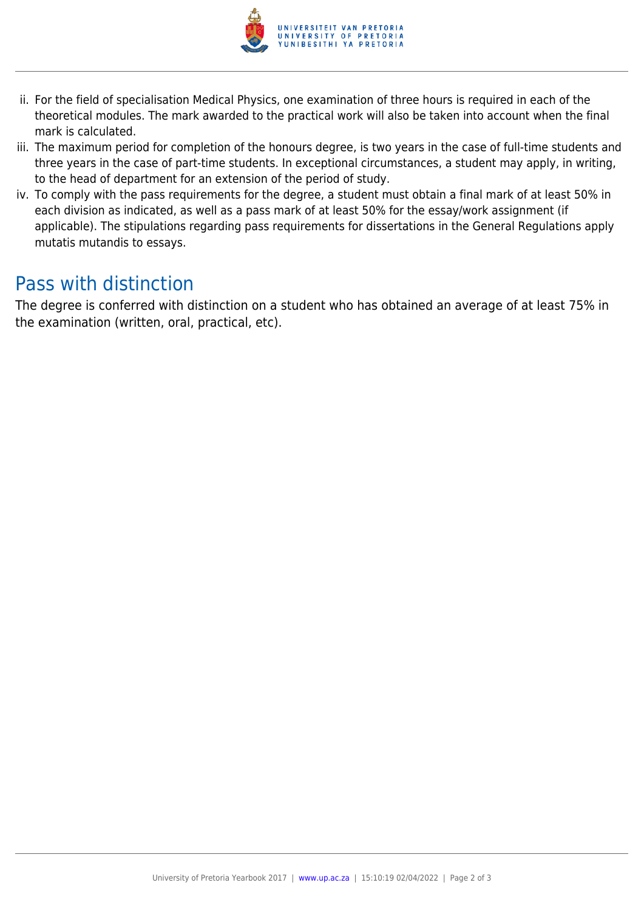

- ii. For the field of specialisation Medical Physics, one examination of three hours is required in each of the theoretical modules. The mark awarded to the practical work will also be taken into account when the final mark is calculated.
- iii. The maximum period for completion of the honours degree, is two years in the case of full-time students and three years in the case of part-time students. In exceptional circumstances, a student may apply, in writing, to the head of department for an extension of the period of study.
- iv. To comply with the pass requirements for the degree, a student must obtain a final mark of at least 50% in each division as indicated, as well as a pass mark of at least 50% for the essay/work assignment (if applicable). The stipulations regarding pass requirements for dissertations in the General Regulations apply mutatis mutandis to essays.

### Pass with distinction

The degree is conferred with distinction on a student who has obtained an average of at least 75% in the examination (written, oral, practical, etc).